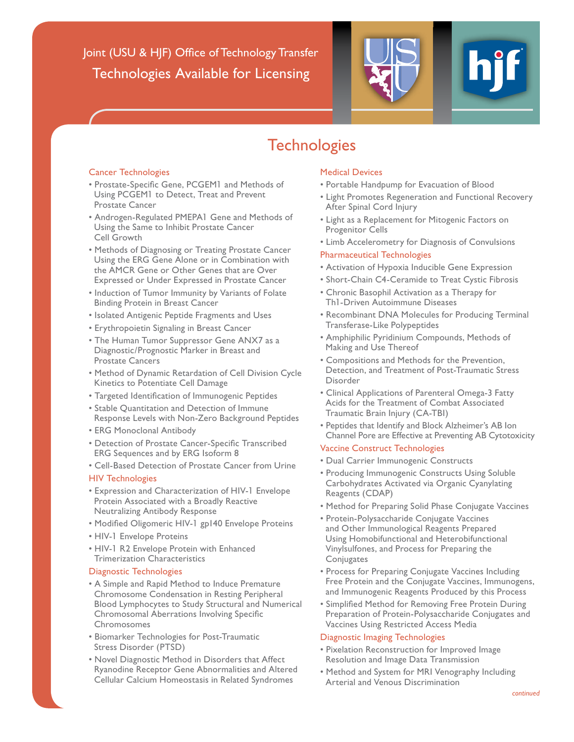Joint (USU & HJF) Office of Technology Transfer Technologies Available for Licensing



# **Technologies**

#### Cancer Technologies

- Prostate-Specific Gene, PCGEM1 and Methods of Using PCGEM1 to Detect, Treat and Prevent Prostate Cancer
- Androgen-Regulated PMEPA1 Gene and Methods of Using the Same to Inhibit Prostate Cancer Cell Growth
- Methods of Diagnosing or Treating Prostate Cancer Using the ERG Gene Alone or in Combination with the AMCR Gene or Other Genes that are Over Expressed or Under Expressed in Prostate Cancer
- Induction of Tumor Immunity by Variants of Folate Binding Protein in Breast Cancer
- Isolated Antigenic Peptide Fragments and Uses
- Erythropoietin Signaling in Breast Cancer
- The Human Tumor Suppressor Gene ANX7 as a Diagnostic/Prognostic Marker in Breast and Prostate Cancers
- Method of Dynamic Retardation of Cell Division Cycle Kinetics to Potentiate Cell Damage
- Targeted Identification of Immunogenic Peptides
- Stable Quantitation and Detection of Immune Response Levels with Non-Zero Background Peptides
- ERG Monoclonal Antibody
- Detection of Prostate Cancer-Specific Transcribed ERG Sequences and by ERG Isoform 8
- Cell-Based Detection of Prostate Cancer from Urine

#### HIV Technologies

- Expression and Characterization of HIV-1 Envelope Protein Associated with a Broadly Reactive Neutralizing Antibody Response
- Modified Oligomeric HIV-1 gp140 Envelope Proteins
- HIV-1 Envelope Proteins
- HIV-1 R2 Envelope Protein with Enhanced Trimerization Characteristics

## Diagnostic Technologies

- A Simple and Rapid Method to Induce Premature Chromosome Condensation in Resting Peripheral Blood Lymphocytes to Study Structural and Numerical Chromosomal Aberrations Involving Specific Chromosomes
- Biomarker Technologies for Post-Traumatic Stress Disorder (PTSD)
- Novel Diagnostic Method in Disorders that Affect Ryanodine Receptor Gene Abnormalities and Altered Cellular Calcium Homeostasis in Related Syndromes

### Medical Devices

- Portable Handpump for Evacuation of Blood
- Light Promotes Regeneration and Functional Recovery After Spinal Cord Injury
- Light as a Replacement for Mitogenic Factors on Progenitor Cells
- Limb Accelerometry for Diagnosis of Convulsions

# Pharmaceutical Technologies

- Activation of Hypoxia Inducible Gene Expression
- Short-Chain C4-Ceramide to Treat Cystic Fibrosis
- Chronic Basophil Activation as a Therapy for Th1-Driven Autoimmune Diseases
- Recombinant DNA Molecules for Producing Terminal Transferase-Like Polypeptides
- Amphiphilic Pyridinium Compounds, Methods of Making and Use Thereof
- Compositions and Methods for the Prevention, Detection, and Treatment of Post-Traumatic Stress Disorder
- Clinical Applications of Parenteral Omega-3 Fatty Acids for the Treatment of Combat Associated Traumatic Brain Injury (CA-TBI)
- Peptides that Identify and Block Alzheimer's AB Ion Channel Pore are Effective at Preventing AB Cytotoxicity

## Vaccine Construct Technologies

- Dual Carrier Immunogenic Constructs
- Producing Immunogenic Constructs Using Soluble Carbohydrates Activated via Organic Cyanylating Reagents (CDAP)
- Method for Preparing Solid Phase Conjugate Vaccines
- Protein-Polysaccharide Conjugate Vaccines and Other Immunological Reagents Prepared Using Homobifunctional and Heterobifunctional Vinylsulfones, and Process for Preparing the **Conjugates**
- Process for Preparing Conjugate Vaccines Including Free Protein and the Conjugate Vaccines, Immunogens, and Immunogenic Reagents Produced by this Process
- Simplified Method for Removing Free Protein During Preparation of Protein-Polysaccharide Conjugates and Vaccines Using Restricted Access Media

## Diagnostic Imaging Technologies

- Pixelation Reconstruction for Improved Image Resolution and Image Data Transmission
- Method and System for MRI Venography Including Arterial and Venous Discrimination